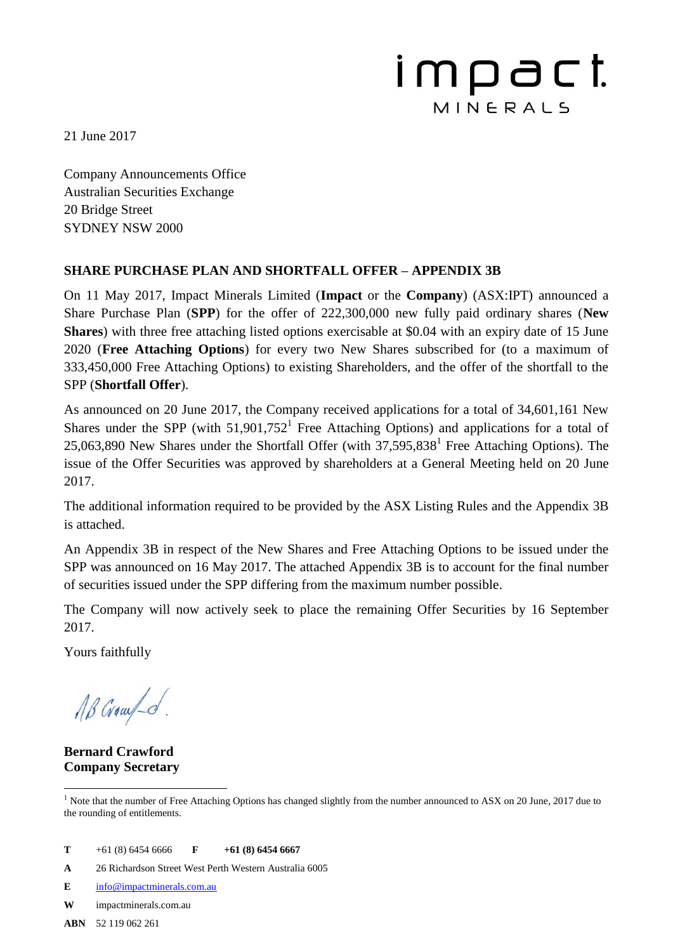# impact MINERALS

21 June 2017

Company Announcements Office Australian Securities Exchange 20 Bridge Street SYDNEY NSW 2000

## **SHARE PURCHASE PLAN AND SHORTFALL OFFER – APPENDIX 3B**

On 11 May 2017, Impact Minerals Limited (**Impact** or the **Company**) (ASX:IPT) announced a Share Purchase Plan (**SPP**) for the offer of 222,300,000 new fully paid ordinary shares (**New Shares**) with three free attaching listed options exercisable at \$0.04 with an expiry date of 15 June 2020 (**Free Attaching Options**) for every two New Shares subscribed for (to a maximum of 333,450,000 Free Attaching Options) to existing Shareholders, and the offer of the shortfall to the SPP (**Shortfall Offer**).

As announced on 20 June 2017, the Company received applications for a total of 34,601,161 New Shares under the SPP (with  $51,901,752$ <sup>1</sup> Free Attaching Options) and applications for a total of 25,063,890 New Shares under the Shortfall Offer (with  $37,595,838<sup>1</sup>$  Free Attaching Options). The issue of the Offer Securities was approved by shareholders at a General Meeting held on 20 June 2017.

The additional information required to be provided by the ASX Listing Rules and the Appendix 3B is attached.

An Appendix 3B in respect of the New Shares and Free Attaching Options to be issued under the SPP was announced on 16 May 2017. The attached Appendix 3B is to account for the final number of securities issued under the SPP differing from the maximum number possible.

The Company will now actively seek to place the remaining Offer Securities by 16 September 2017.

Yours faithfully

AB Grow S.

**Bernard Crawford Company Secretary**

1

**T** +61 (8) 6454 6666 **F +61 (8) 6454 6667**

**A** 26 Richardson Street West Perth Western Australia 6005

**E** [info@impactminerals.com.au](mailto:info@impactminerals.com.au)

**W** impactminerals.com.au

**ABN** 52 119 062 261

<sup>&</sup>lt;sup>1</sup> Note that the number of Free Attaching Options has changed slightly from the number announced to ASX on 20 June, 2017 due to the rounding of entitlements.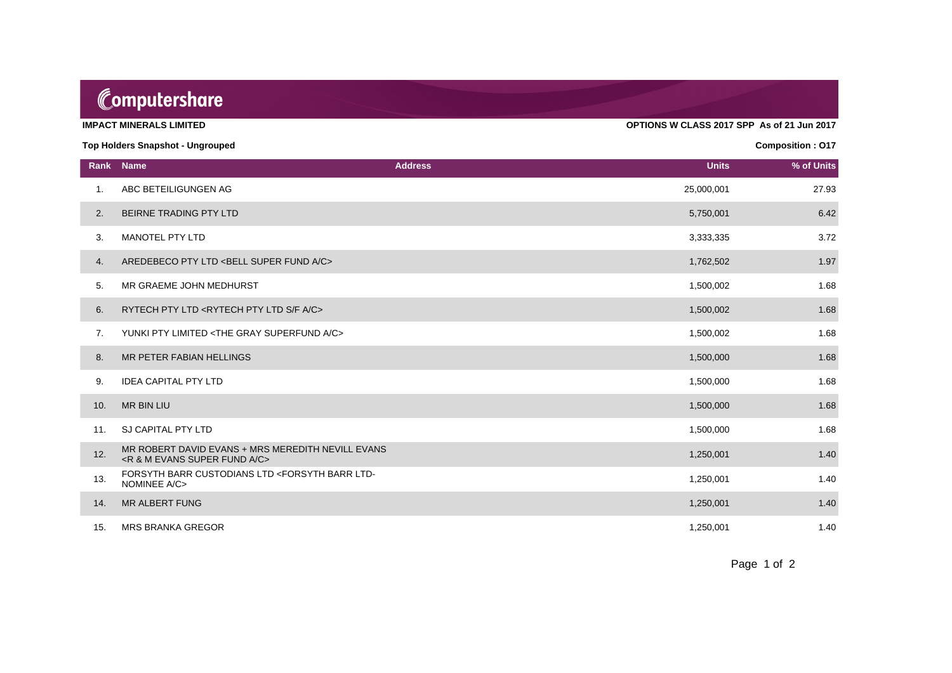|     | <b>IMPACT MINERALS LIMITED</b>                                                                             |                | OPTIONS W CLASS 2017 SPP As of 21 Jun 2017 |                         |
|-----|------------------------------------------------------------------------------------------------------------|----------------|--------------------------------------------|-------------------------|
|     | <b>Top Holders Snapshot - Ungrouped</b>                                                                    |                |                                            | <b>Composition: O17</b> |
|     | Rank Name                                                                                                  | <b>Address</b> | <b>Units</b>                               | % of Units              |
| 1.  | ABC BETEILIGUNGEN AG                                                                                       |                | 25,000,001                                 | 27.93                   |
| 2.  | BEIRNE TRADING PTY LTD                                                                                     |                | 5,750,001                                  | 6.42                    |
| 3.  | <b>MANOTEL PTY LTD</b>                                                                                     |                | 3,333,335                                  | 3.72                    |
| 4.  | AREDEBECO PTY LTD <bell a="" c="" fund="" super=""></bell>                                                 |                | 1,762,502                                  | 1.97                    |
| 5.  | MR GRAEME JOHN MEDHURST                                                                                    |                | 1,500,002                                  | 1.68                    |
| 6.  | RYTECH PTY LTD <rytech a="" c="" f="" ltd="" pty="" s=""></rytech>                                         |                | 1,500,002                                  | 1.68                    |
| 7.  | YUNKI PTY LIMITED <the a="" c="" gray="" superfund=""></the>                                               |                | 1,500,002                                  | 1.68                    |
| 8.  | MR PETER FABIAN HELLINGS                                                                                   |                | 1,500,000                                  | 1.68                    |
| 9.  | <b>IDEA CAPITAL PTY LTD</b>                                                                                |                | 1,500,000                                  | 1.68                    |
| 10. | <b>MR BIN LIU</b>                                                                                          |                | 1,500,000                                  | 1.68                    |
| 11. | SJ CAPITAL PTY LTD                                                                                         |                | 1,500,000                                  | 1.68                    |
| 12. | MR ROBERT DAVID EVANS + MRS MEREDITH NEVILL EVANS<br><r &="" a="" c="" evans="" fund="" m="" super=""></r> |                | 1,250,001                                  | 1.40                    |
| 13. | FORSYTH BARR CUSTODIANS LTD <forsyth barr="" ltd-<br="">NOMINEE A/C&gt;</forsyth>                          |                | 1,250,001                                  | 1.40                    |
| 14. | MR ALBERT FUNG                                                                                             |                | 1,250,001                                  | 1.40                    |
| 15. | <b>MRS BRANKA GREGOR</b>                                                                                   |                | 1,250,001                                  | 1.40                    |

Page 1 of 2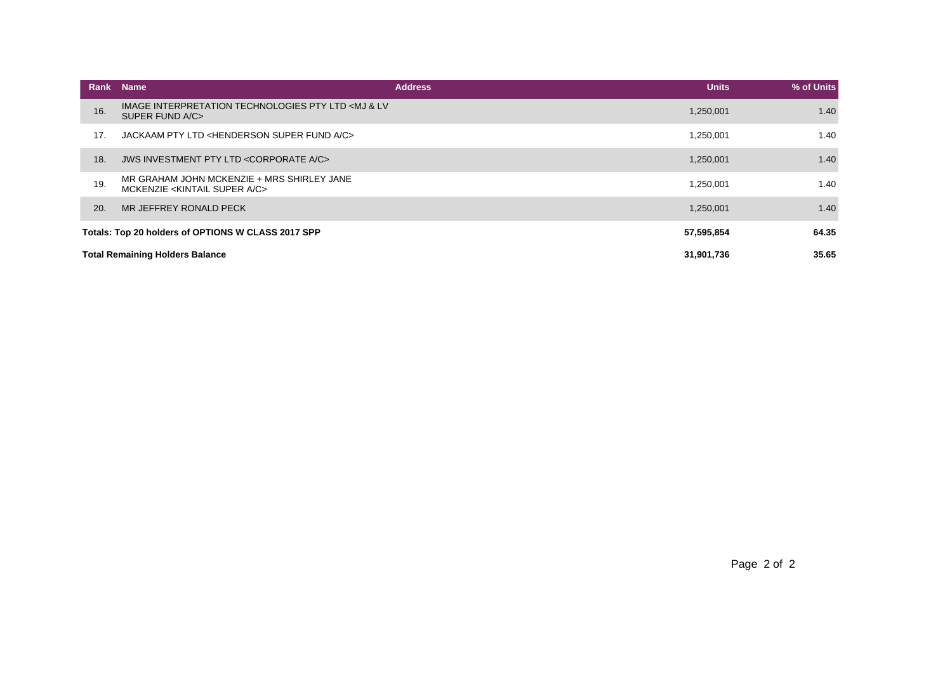| Rank                                                             | <b>Name</b>                                                                         | <b>Units</b><br><b>Address</b> | % of Units |
|------------------------------------------------------------------|-------------------------------------------------------------------------------------|--------------------------------|------------|
| 16.                                                              | IMAGE INTERPRETATION TECHNOLOGIES PTY LTD <mj &="" lv<br="">SUPER FUND A/C&gt;</mj> | 1,250,001                      | 1.40       |
| 17.                                                              | JACKAAM PTY LTD <henderson a="" c="" fund="" super=""></henderson>                  | 1,250,001                      | 1.40       |
| 18.                                                              | JWS INVESTMENT PTY LTD < CORPORATE A/C>                                             | 1,250,001                      | 1.40       |
| 19.                                                              | MR GRAHAM JOHN MCKENZIE + MRS SHIRLEY JANE<br>MCKENZIE < KINTAIL SUPER A/C>         | 1,250,001                      | 1.40       |
| 20.                                                              | MR JEFFREY RONALD PECK                                                              | 1,250,001                      | 1.40       |
| Totals: Top 20 holders of OPTIONS W CLASS 2017 SPP<br>57,595,854 |                                                                                     | 64.35                          |            |
| <b>Total Remaining Holders Balance</b><br>31,901,736             |                                                                                     | 35.65                          |            |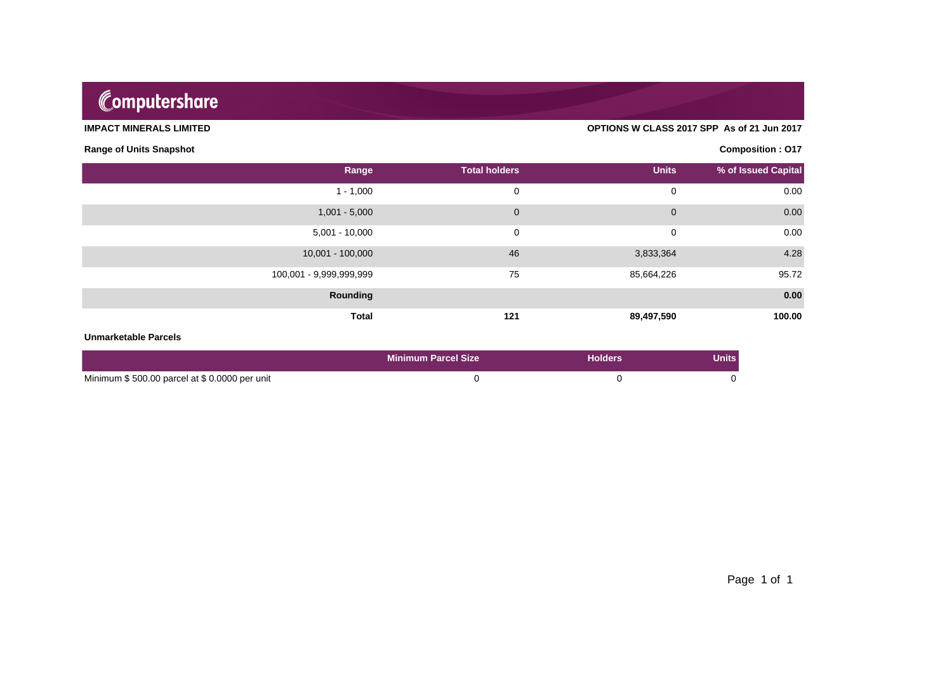#### **IMPACT MINERALS LIMITED OPTIONS W CLASS 2017 SPP As of 21 Jun 2017**

#### **Range of Units Snapshot Composition : O17**

| % of Issued Capital | <b>Units</b>   | <b>Total holders</b> | Range                   |
|---------------------|----------------|----------------------|-------------------------|
| 0.00                | $\mathbf 0$    | 0                    | $1 - 1,000$             |
| 0.00                | $\overline{0}$ | 0                    | $1,001 - 5,000$         |
| 0.00                | 0              | 0                    | $5,001 - 10,000$        |
| 4.28                | 3,833,364      | 46                   | 10,001 - 100,000        |
| 95.72               | 85,664,226     | 75                   | 100,001 - 9,999,999,999 |
| 0.00                |                |                      | Rounding                |
| 100.00              | 89,497,590     | 121                  | <b>Total</b>            |

#### **Unmarketable Parcels**

|                                              | Minimum Parcel Size | Holders | Units l |
|----------------------------------------------|---------------------|---------|---------|
| Minimum \$500.00 parcel at \$0.0000 per unit |                     |         |         |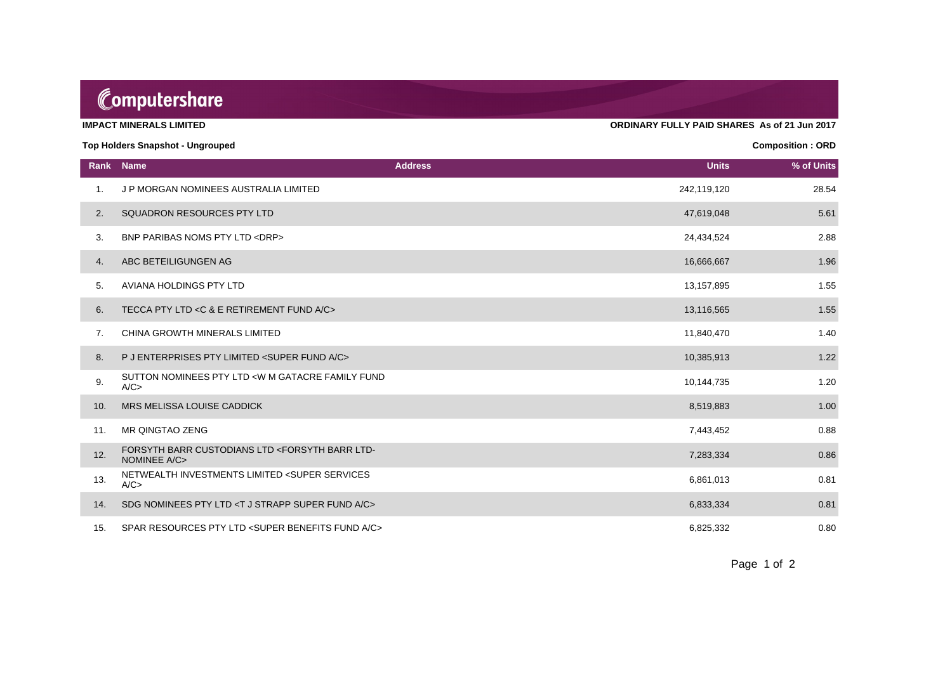**Rank Name Address Units % of Units** 1. J P MORGAN NOMINEES AUSTRALIA LIMITED 242,119,120 28.54 2. SQUADRON RESOURCES PTY LTD 47,619,048 5.61 3. BNP PARIBAS NOMS PTY LTD <DRP> 24,434,524 2.88 4. ABC BETEILIGUNGEN AG 1966 (1997) 1.96 (1998) 1.96 (1998) 1.96 (1998) 1.96 (1998) 1.96 (1998) 1.96 (1998) 1.96 5. AVIANA HOLDINGS PTY LTD 155 6. TECCA PTY LTD <C & E RETIREMENT FUND A/C> 13,116,565 1.55 7. CHINA GROWTH MINERALS LIMITED 1.40 8. P J ENTERPRISES PTY LIMITED <SUPER FUND A/C> 1.000 1.000 1.000 1.000 1.000 1.22 9. SUTTON NOMINEES PTY LTD <W M GATACRE FAMILY FUND<br>A/C> 80 11 0.144,735 1.20<br>A/C> 10. MRS MELISSA LOUISE CADDICK 8,519,883 1.00 11. MR QINGTAO ZENG 7,443,452 0.88 12. FORSYTH BARR CUSTODIANS LTD <FORSYTH BARR LTD-<br>12. NOMINEE A/C> NOMINEE A/C> 7,283,334 0.86 13. NETWEALTH INVESTMENTS LIMITED <SUPER SERVICES<br>A/C> A/C> 6,861,013 0.81 14. SDG NOMINEES PTY LTD <T J STRAPP SUPER FUND A/C> 6,833,334 0.81 15. SPAR RESOURCES PTY LTD <SUPER BENEFITS FUND A/C> 6,825,332 6,825,332 0.80 **Top Holders Snapshot - Ungrouped Composition : ORD**

**IMPACT MINERALS LIMITED ORDINARY FULLY PAID SHARES As of 21 Jun 2017**

Page 1 of 2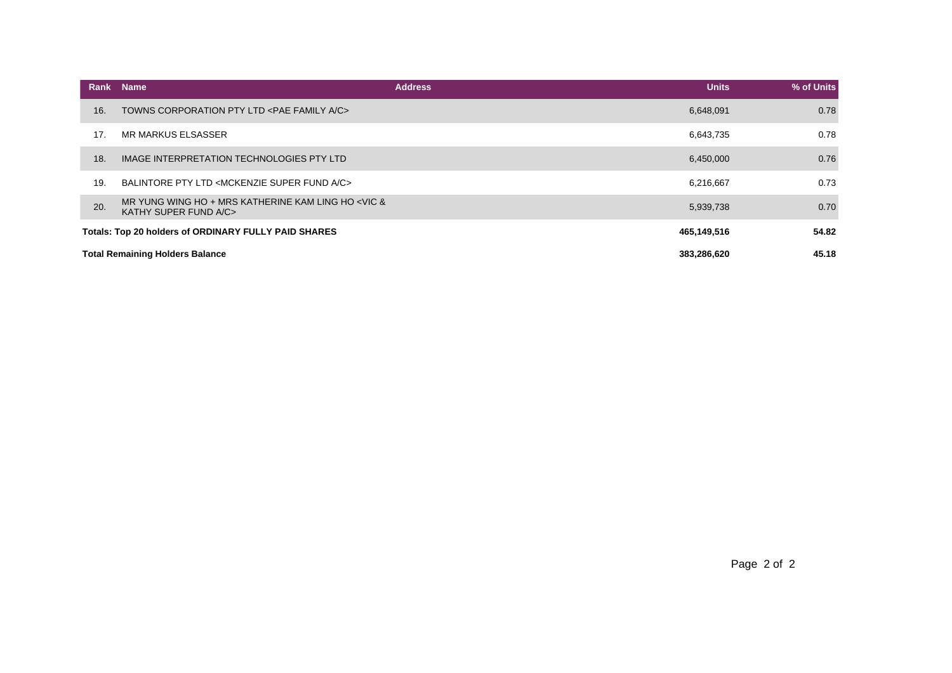| <b>Rank</b>                                                         | <b>Name</b>                                                                             | <b>Units</b><br><b>Address</b> | % of Units |
|---------------------------------------------------------------------|-----------------------------------------------------------------------------------------|--------------------------------|------------|
| 16.                                                                 | TOWNS CORPORATION PTY LTD <pae a="" c="" family=""></pae>                               | 6,648,091                      | 0.78       |
| 17.                                                                 | <b>MR MARKUS ELSASSER</b>                                                               | 6,643,735                      | 0.78       |
| 18.                                                                 | IMAGE INTERPRETATION TECHNOLOGIES PTY LTD                                               | 6,450,000                      | 0.76       |
| 19.                                                                 | BALINTORE PTY LTD <mckenzie a="" c="" fund="" super=""></mckenzie>                      | 6,216,667                      | 0.73       |
| 20.                                                                 | MR YUNG WING HO + MRS KATHERINE KAM LING HO <vic &<br="">KATHY SUPER FUND A/C&gt;</vic> | 5,939,738                      | 0.70       |
| Totals: Top 20 holders of ORDINARY FULLY PAID SHARES<br>465,149,516 |                                                                                         | 54.82                          |            |
| <b>Total Remaining Holders Balance</b><br>383,286,620               |                                                                                         | 45.18                          |            |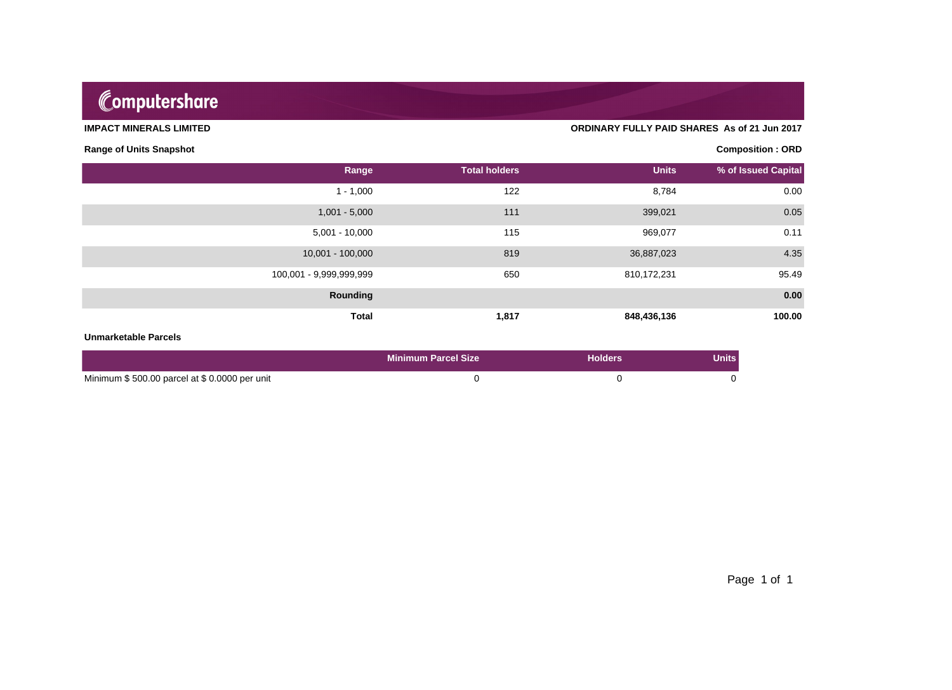#### **IMPACT MINERALS LIMITED ORDINARY FULLY PAID SHARES As of 21 Jun 2017**

#### **Range of Units Snapshot Composition : ORD**

| Range                   | <b>Total holders</b> | <b>Units</b> | % of Issued Capital |
|-------------------------|----------------------|--------------|---------------------|
| $1 - 1,000$             | 122                  | 8,784        | 0.00                |
| $1,001 - 5,000$         | 111                  | 399,021      | 0.05                |
| $5,001 - 10,000$        | 115                  | 969,077      | 0.11                |
| 10,001 - 100,000        | 819                  | 36,887,023   | 4.35                |
| 100,001 - 9,999,999,999 | 650                  | 810,172,231  | 95.49               |
| Rounding                |                      |              | 0.00                |
| <b>Total</b>            | 1,817                | 848,436,136  | 100.00              |

#### **Unmarketable Parcels**

|                                                | Minimum Parcel Size | Holders | Units l |
|------------------------------------------------|---------------------|---------|---------|
| Minimum $$500.00$ parcel at $$0.0000$ per unit |                     |         |         |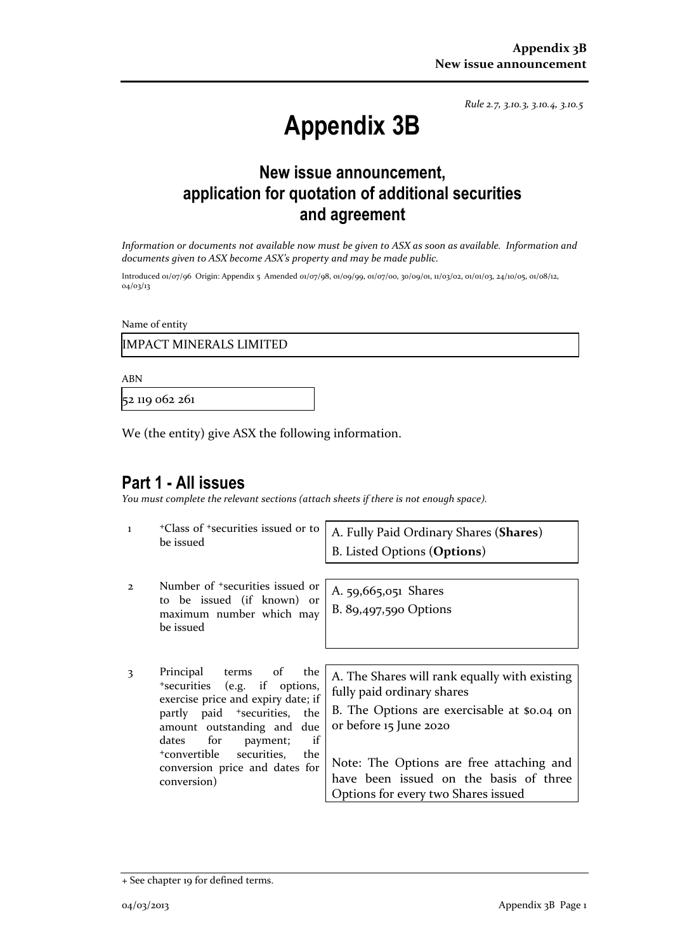*Rule 2.7, 3.10.3, 3.10.4, 3.10.5*

# **Appendix 3B**

## **New issue announcement, application for quotation of additional securities and agreement**

*Information or documents not available now must be given to ASX as soon as available. Information and documents given to ASX become ASX's property and may be made public.*

Introduced 01/07/96 Origin: Appendix 5 Amended 01/07/98, 01/09/99, 01/07/00, 30/09/01, 11/03/02, 01/01/03, 24/10/05, 01/08/12, 04/03/13

Name of entity

### IMPACT MINERALS LIMITED

ABN

52 119 062 261

We (the entity) give ASX the following information.

## **Part 1 - All issues**

*You must complete the relevant sections (attach sheets if there is not enough space).*

1 <sup>+</sup>Class of +securities issued or to be issued

A. Fully Paid Ordinary Shares (**Shares**) B. Listed Options (**Options**)

- 2 Number of +securities issued or to be issued (if known) or maximum number which may be issued
- 3 Principal terms of the <sup>+</sup>securities (e.g. if options, exercise price and expiry date; if partly paid <sup>+</sup>securities, the amount outstanding and due<br>dates for payment: if for payment; if <sup>+</sup>convertible securities, the conversion price and dates for conversion)

A. 59,665,051 Shares B. 89,497,590 Options

A. The Shares will rank equally with existing fully paid ordinary shares

B. The Options are exercisable at \$0.04 on or before 15 June 2020

Note: The Options are free attaching and have been issued on the basis of three Options for every two Shares issued

<sup>+</sup> See chapter 19 for defined terms.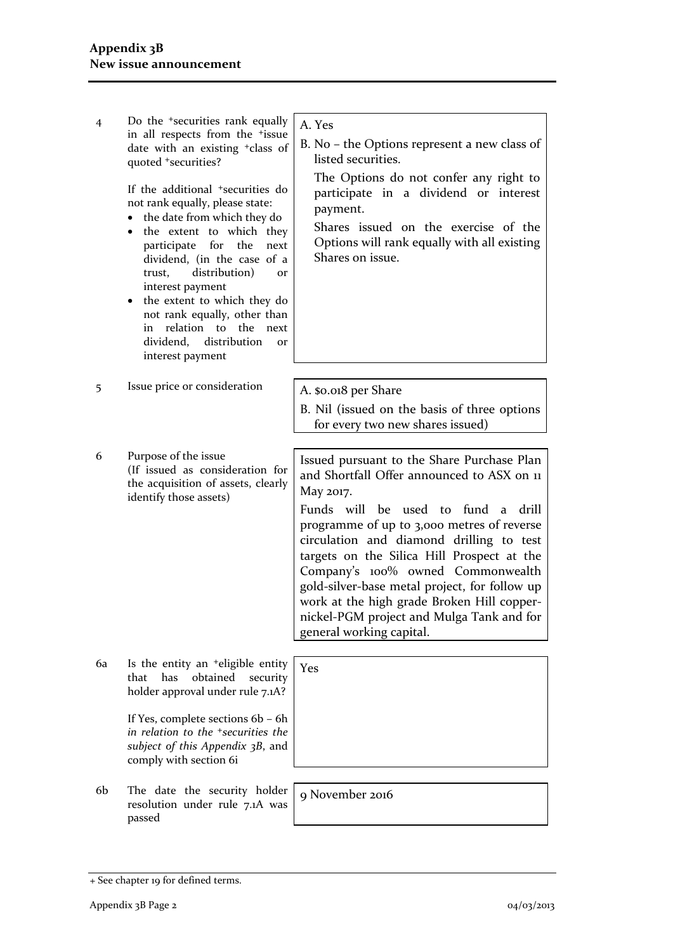| 4  | Do the <sup>+</sup> securities rank equally<br>in all respects from the <sup>+</sup> issue<br>date with an existing <sup>+</sup> class of<br>quoted +securities?<br>If the additional <sup>+</sup> securities do<br>not rank equally, please state:<br>• the date from which they do<br>the extent to which they<br>٠<br>participate for the<br>next<br>dividend, (in the case of a<br>distribution)<br>trust,<br><b>Or</b><br>interest payment<br>the extent to which they do<br>not rank equally, other than<br>in relation to the next<br>dividend,<br>distribution<br><b>Or</b><br>interest payment | A. Yes<br>B. No – the Options represent a new class of<br>listed securities.<br>The Options do not confer any right to<br>participate in a dividend or interest<br>payment.<br>Shares issued on the exercise of the<br>Options will rank equally with all existing<br>Shares on issue.                                                                                                                                                                                                                 |
|----|---------------------------------------------------------------------------------------------------------------------------------------------------------------------------------------------------------------------------------------------------------------------------------------------------------------------------------------------------------------------------------------------------------------------------------------------------------------------------------------------------------------------------------------------------------------------------------------------------------|--------------------------------------------------------------------------------------------------------------------------------------------------------------------------------------------------------------------------------------------------------------------------------------------------------------------------------------------------------------------------------------------------------------------------------------------------------------------------------------------------------|
| 5  | Issue price or consideration                                                                                                                                                                                                                                                                                                                                                                                                                                                                                                                                                                            | A. \$0.018 per Share<br>B. Nil (issued on the basis of three options<br>for every two new shares issued)                                                                                                                                                                                                                                                                                                                                                                                               |
| 6  | Purpose of the issue<br>(If issued as consideration for<br>the acquisition of assets, clearly<br>identify those assets)                                                                                                                                                                                                                                                                                                                                                                                                                                                                                 | Issued pursuant to the Share Purchase Plan<br>and Shortfall Offer announced to ASX on 11<br>May 2017.<br>Funds will be used to fund<br>drill<br>a<br>programme of up to 3,000 metres of reverse<br>circulation and diamond drilling to test<br>targets on the Silica Hill Prospect at the<br>Company's 100% owned Commonwealth<br>gold-silver-base metal project, for follow up<br>work at the high grade Broken Hill copper-<br>nickel-PGM project and Mulga Tank and for<br>general working capital. |
| 6a | Is the entity an <sup>+</sup> eligible entity<br>obtained<br>has<br>security<br>that<br>holder approval under rule 7.1A?<br>If Yes, complete sections 6b - 6h                                                                                                                                                                                                                                                                                                                                                                                                                                           | Yes                                                                                                                                                                                                                                                                                                                                                                                                                                                                                                    |
|    | in relation to the <sup>+</sup> securities the<br>subject of this Appendix 3B, and<br>comply with section 6i                                                                                                                                                                                                                                                                                                                                                                                                                                                                                            |                                                                                                                                                                                                                                                                                                                                                                                                                                                                                                        |
| 6b | The date the security holder<br>resolution under rule 7.1A was<br>passed                                                                                                                                                                                                                                                                                                                                                                                                                                                                                                                                | 9 November 2016                                                                                                                                                                                                                                                                                                                                                                                                                                                                                        |

<sup>+</sup> See chapter 19 for defined terms.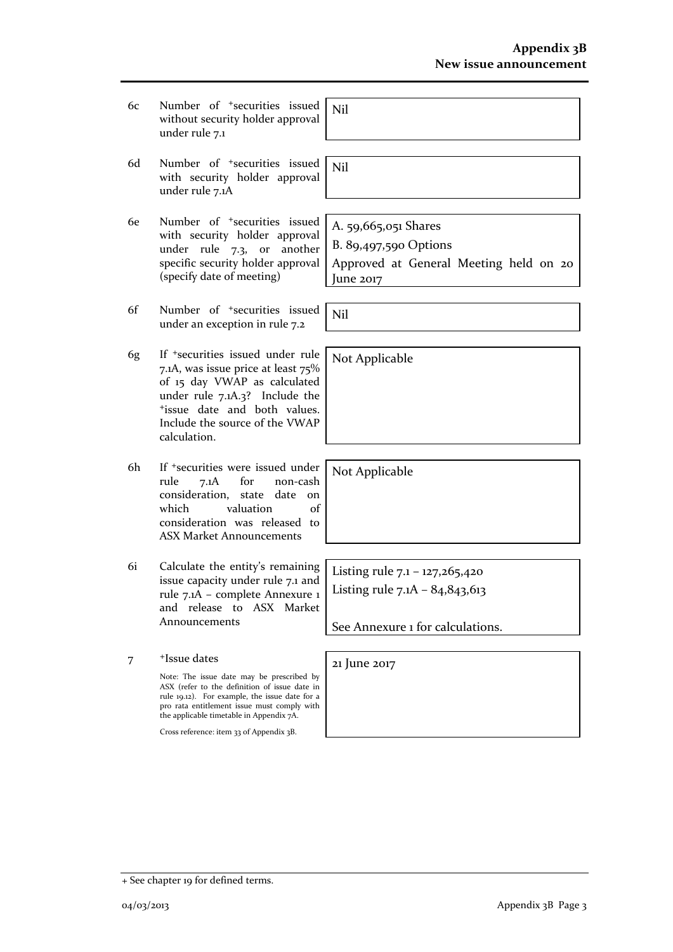- 6c Number of +securities issued without security holder approval under rule 7.1
- 6d Number of +securities issued with security holder approval under rule 7.1A
- 6e Number of +securities issued with security holder approval under rule 7.3, or another specific security holder approval (specify date of meeting)
- 6f Number of +securities issued under an exception in rule 7.2
- 6g If +securities issued under rule 7.1A, was issue price at least 75% of 15 day VWAP as calculated under rule 7.1A.3? Include the <sup>+</sup>issue date and both values. Include the source of the VWAP calculation.
- 6h If +securities were issued under rule 7.1A for non-cash consideration, state date on which valuation of consideration was released to ASX Market Announcements
- 6i Calculate the entity's remaining issue capacity under rule 7.1 and rule 7.1A – complete Annexure 1 and release to ASX Market Announcements

#### 7 <sup>+</sup>Issue dates

Note: The issue date may be prescribed by ASX (refer to the definition of issue date in rule 19.12). For example, the issue date for a pro rata entitlement issue must comply with the applicable timetable in Appendix 7A.

Cross reference: item 33 of Appendix 3B.

Nil

Nil

A. 59,665,051 Shares

B. 89,497,590 Options

Approved at General Meeting held on 20 June 2017

Nil

Not Applicable

Not Applicable

Listing rule 7.1 - 127,265,420 Listing rule  $7.1A - 84,843,613$ 

See Annexure 1 for calculations.

21 June 2017

<sup>+</sup> See chapter 19 for defined terms.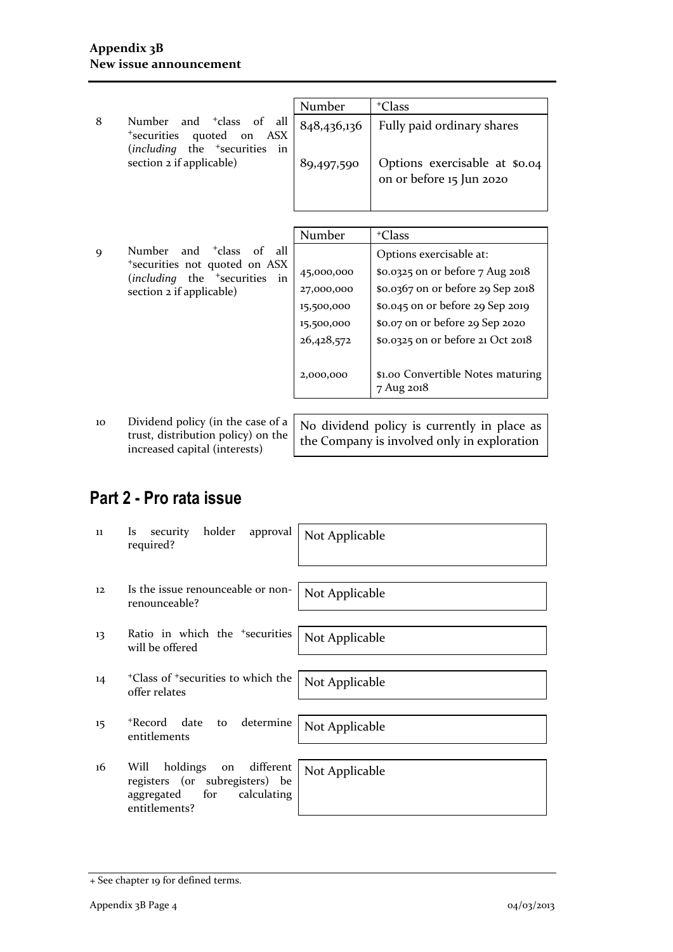## **Appendix 3B New issue announcement**

|    |                                                                                                                    | Number      | <sup>+</sup> Class                                                                         |
|----|--------------------------------------------------------------------------------------------------------------------|-------------|--------------------------------------------------------------------------------------------|
| 8  | and <sup>+</sup> class of<br>Number<br>all<br><sup>+</sup> securities<br>quoted<br><b>ASX</b><br>on                | 848,436,136 | Fully paid ordinary shares                                                                 |
|    | (including the <sup>+</sup> securities<br>in<br>section 2 if applicable)                                           | 89,497,590  | Options exercisable at \$0.04<br>on or before 15 Jun 2020                                  |
|    |                                                                                                                    |             |                                                                                            |
|    |                                                                                                                    | Number      | <sup>+</sup> Class                                                                         |
| 9  | Number<br><sup>+</sup> class<br>and<br>of<br>all                                                                   |             | Options exercisable at:                                                                    |
|    | *securities not quoted on ASX<br>(including the <sup>+</sup> securities<br>in                                      | 45,000,000  | \$0.0325 on or before 7 Aug 2018                                                           |
|    | section 2 if applicable)                                                                                           | 27,000,000  | \$0.0367 on or before 29 Sep 2018                                                          |
|    |                                                                                                                    | 15,500,000  | \$0.045 on or before 29 Sep 2019                                                           |
|    |                                                                                                                    | 15,500,000  | \$0.07 on or before 29 Sep 2020                                                            |
|    |                                                                                                                    | 26,428,572  | \$0.0325 on or before 21 Oct 2018                                                          |
|    |                                                                                                                    | 2,000,000   | \$1.00 Convertible Notes maturing<br>7 Aug 2018                                            |
|    |                                                                                                                    |             |                                                                                            |
| 10 | Dividend policy (in the case of a<br>trust, distribution policy) on the<br>ta ana a a a dina ta 1770 ann ann an 18 |             | No dividend policy is currently in place as<br>the Company is involved only in exploration |

## **Part 2 - Pro rata issue**

increased capital (interests)

| 11 | holder<br>security<br>approval<br>Is<br>required?                                                                          | Not Applicable |
|----|----------------------------------------------------------------------------------------------------------------------------|----------------|
|    |                                                                                                                            |                |
| 12 | Is the issue renounceable or non-<br>renounceable?                                                                         | Not Applicable |
|    |                                                                                                                            |                |
| 13 | Ratio in which the <sup>+</sup> securities<br>will be offered                                                              | Not Applicable |
|    |                                                                                                                            |                |
| 14 | <sup>+</sup> Class of <sup>+</sup> securities to which the<br>offer relates                                                | Not Applicable |
|    |                                                                                                                            |                |
| 15 | to determine<br>+Record date<br>entitlements                                                                               | Not Applicable |
|    |                                                                                                                            |                |
| 16 | different<br>holdings<br>Will<br>on<br>registers (or subregisters) be<br>for<br>calculating<br>aggregated<br>entitlements? | Not Applicable |
|    |                                                                                                                            |                |

<sup>+</sup> See chapter 19 for defined terms.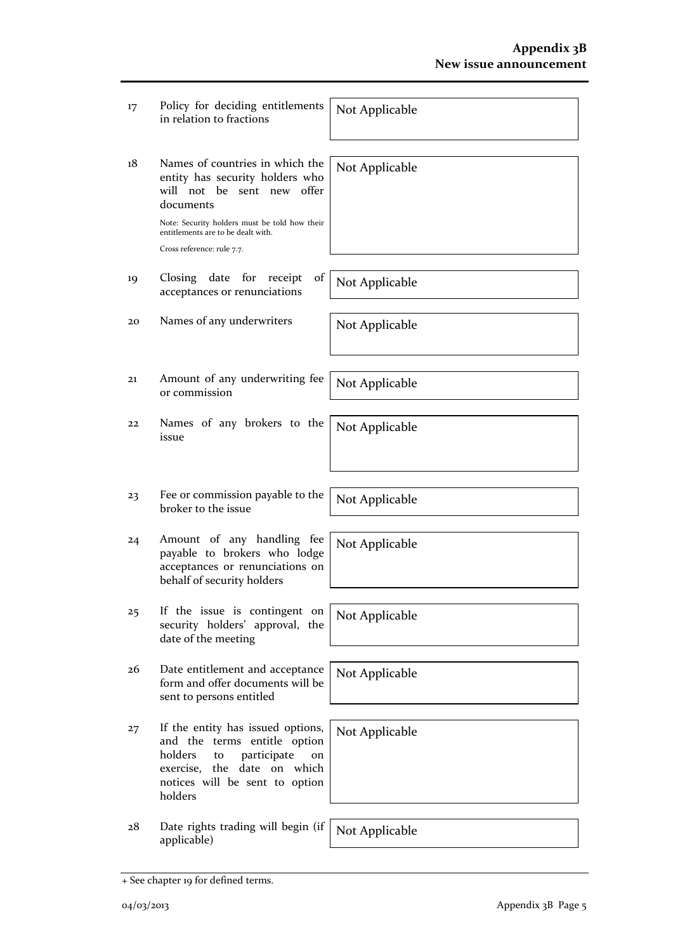| 17 | Policy for deciding entitlements<br>in relation to fractions                                                                                                                                                                       | Not Applicable |
|----|------------------------------------------------------------------------------------------------------------------------------------------------------------------------------------------------------------------------------------|----------------|
| 18 | Names of countries in which the<br>entity has security holders who<br>will not be sent new offer<br>documents<br>Note: Security holders must be told how their<br>entitlements are to be dealt with.<br>Cross reference: rule 7.7. | Not Applicable |
| 19 | Closing date for<br>of<br>receipt<br>acceptances or renunciations                                                                                                                                                                  | Not Applicable |
| 20 | Names of any underwriters                                                                                                                                                                                                          | Not Applicable |
| 21 | Amount of any underwriting fee<br>or commission                                                                                                                                                                                    | Not Applicable |
| 22 | Names of any brokers to the<br>issue                                                                                                                                                                                               | Not Applicable |
| 23 | Fee or commission payable to the<br>broker to the issue                                                                                                                                                                            | Not Applicable |
| 24 | Amount of any handling fee<br>payable to brokers who lodge<br>acceptances or renunciations on<br>behalf of security holders                                                                                                        | Not Applicable |
| 25 | If the issue is contingent on<br>security holders' approval, the<br>date of the meeting                                                                                                                                            | Not Applicable |
| 26 | Date entitlement and acceptance<br>form and offer documents will be<br>sent to persons entitled                                                                                                                                    | Not Applicable |
| 27 | If the entity has issued options,<br>and the terms entitle option<br>holders<br>participate<br>to<br>on<br>the<br>exercise,<br>date on which<br>notices will be sent to option<br>holders                                          | Not Applicable |
| 28 | Date rights trading will begin (if<br>applicable)                                                                                                                                                                                  | Not Applicable |

<sup>+</sup> See chapter 19 for defined terms.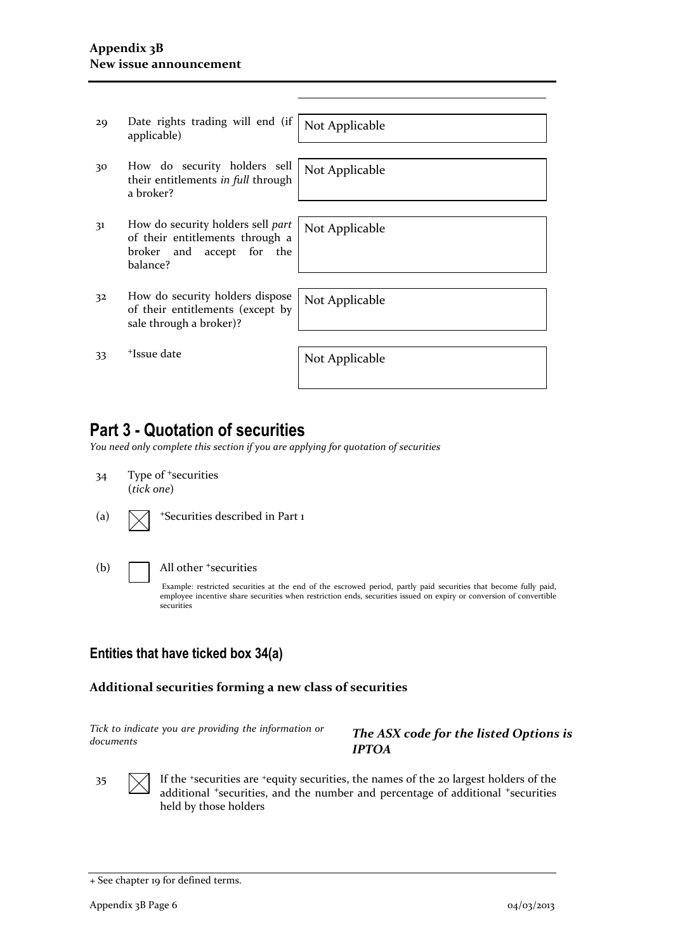| 29 | Date rights trading will end (if<br>applicable)                                                               | Not Applicable |
|----|---------------------------------------------------------------------------------------------------------------|----------------|
|    |                                                                                                               |                |
| 30 | How do security holders sell<br>their entitlements in full through<br>a broker?                               | Not Applicable |
|    |                                                                                                               |                |
|    |                                                                                                               |                |
| 31 | How do security holders sell part<br>of their entitlements through a<br>broker and accept for the<br>balance? | Not Applicable |
|    |                                                                                                               |                |
| 32 | How do security holders dispose<br>of their entitlements (except by<br>sale through a broker)?                | Not Applicable |
|    |                                                                                                               |                |
| 33 | <sup>+</sup> Issue date                                                                                       | Not Applicable |
|    |                                                                                                               |                |

## **Part 3 - Quotation of securities**

*You need only complete this section if you are applying for quotation of securities*

- 34 Type of <sup>+</sup>securities (*tick one*)
- (a)  $\sqrt{\phantom{a}}$  +Securities described in Part 1
- 

#### (b)  $\Box$  All other  $\overline{\phantom{a}}$  securities

Example: restricted securities at the end of the escrowed period, partly paid securities that become fully paid, employee incentive share securities when restriction ends, securities issued on expiry or conversion of convertible securities

## **Entities that have ticked box 34(a)**

### **Additional securities forming a new class of securities**

*Tick to indicate you are providing the information or documents documents documents documents documents* 

# *IPTOA*

 $35 \quad \boxed{\smash{\bigtimes}}$  If the <sup>+</sup>securities are <sup>+</sup>equity securities, the names of the 20 largest holders of the additional <sup>+</sup>securities, and the number and percentage of additional <sup>+</sup>securities held by those holders

<sup>+</sup> See chapter 19 for defined terms.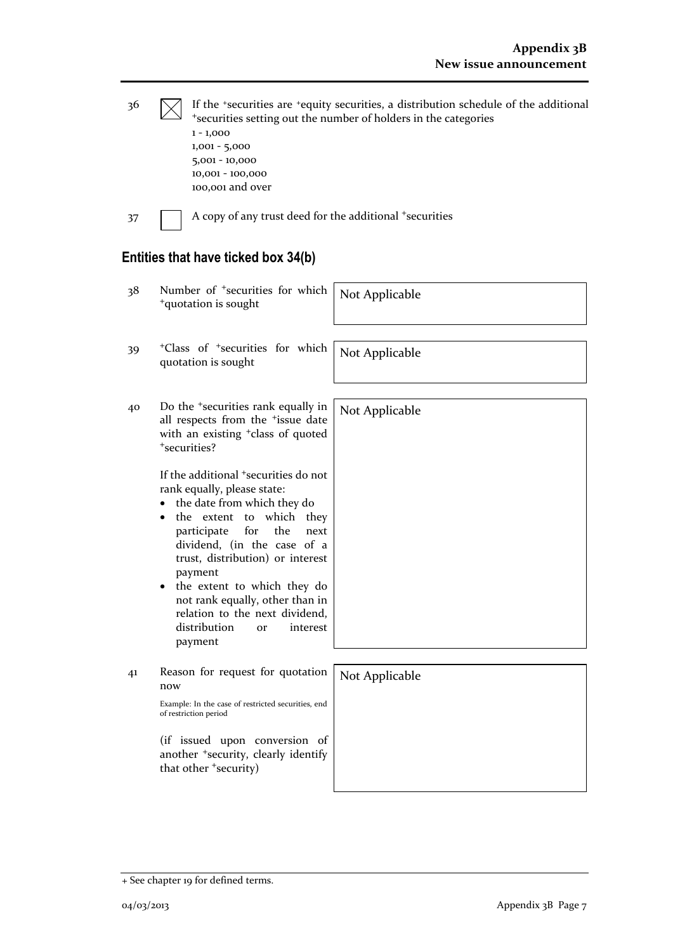| 36 | $1 - 1,000$<br>$1,001 - 5,000$<br>5,001 - 10,000<br>10,001 - 100,000<br>100,001 and over                                                                                                                                                                                                                                                                                                                                                 | If the *securities are *equity securities, a distribution schedule of the additional<br>*securities setting out the number of holders in the categories |  |  |  |
|----|------------------------------------------------------------------------------------------------------------------------------------------------------------------------------------------------------------------------------------------------------------------------------------------------------------------------------------------------------------------------------------------------------------------------------------------|---------------------------------------------------------------------------------------------------------------------------------------------------------|--|--|--|
| 37 |                                                                                                                                                                                                                                                                                                                                                                                                                                          | A copy of any trust deed for the additional <sup>+</sup> securities                                                                                     |  |  |  |
|    | Entities that have ticked box 34(b)                                                                                                                                                                                                                                                                                                                                                                                                      |                                                                                                                                                         |  |  |  |
| 38 | Number of <sup>+</sup> securities for which<br><sup>+</sup> quotation is sought                                                                                                                                                                                                                                                                                                                                                          | Not Applicable                                                                                                                                          |  |  |  |
| 39 | <sup>+</sup> Class of <sup>+</sup> securities for which<br>quotation is sought                                                                                                                                                                                                                                                                                                                                                           | Not Applicable                                                                                                                                          |  |  |  |
| 40 | Do the <sup>+</sup> securities rank equally in<br>all respects from the <sup>+</sup> issue date<br>with an existing <sup>+</sup> class of quoted<br>*securities?                                                                                                                                                                                                                                                                         | Not Applicable                                                                                                                                          |  |  |  |
|    | If the additional <sup>+</sup> securities do not<br>rank equally, please state:<br>the date from which they do<br>$\bullet$<br>the extent to which they<br>$\bullet$<br>for<br>the<br>participate<br>next<br>dividend, (in the case of a<br>trust, distribution) or interest<br>payment<br>the extent to which they do<br>not rank equally, other than in<br>relation to the next dividend,<br>distribution<br>interest<br>or<br>payment |                                                                                                                                                         |  |  |  |
| 41 | Reason for request for quotation<br>now<br>Example: In the case of restricted securities, end<br>of restriction period                                                                                                                                                                                                                                                                                                                   | Not Applicable                                                                                                                                          |  |  |  |
|    | (if issued upon conversion of<br>another <sup>+</sup> security, clearly identify<br>that other 'security)                                                                                                                                                                                                                                                                                                                                |                                                                                                                                                         |  |  |  |

<sup>+</sup> See chapter 19 for defined terms.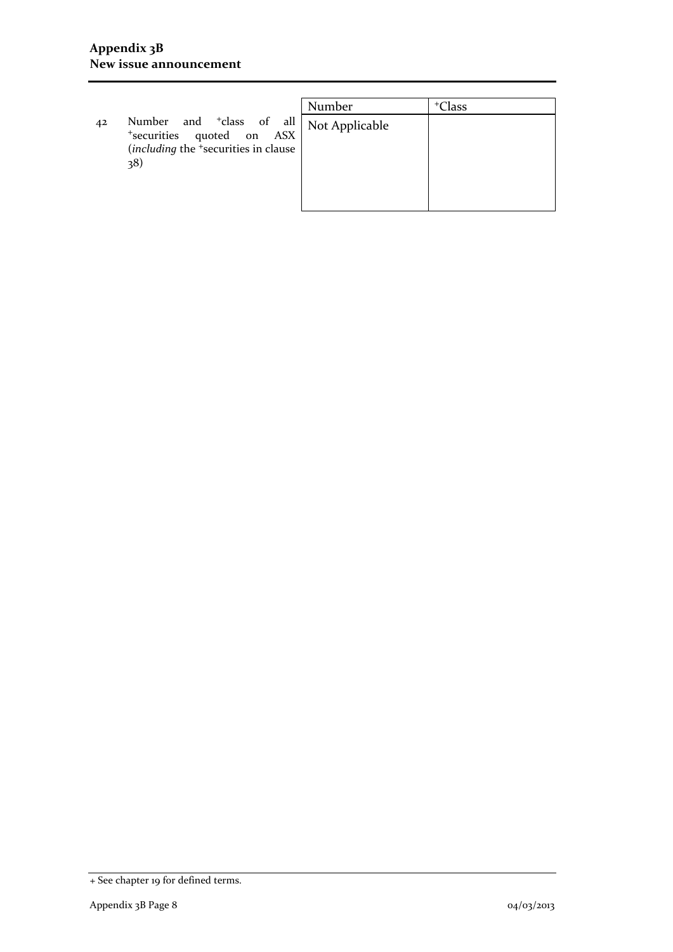| Number                                                                                                                                                           | <sup>+</sup> Class |
|------------------------------------------------------------------------------------------------------------------------------------------------------------------|--------------------|
| Number and <sup>+</sup> class of all<br>42<br>Not Applicable<br><sup>+</sup> securities quoted on ASX<br>(including the <sup>+</sup> securities in clause<br>38) |                    |

<sup>+</sup> See chapter 19 for defined terms.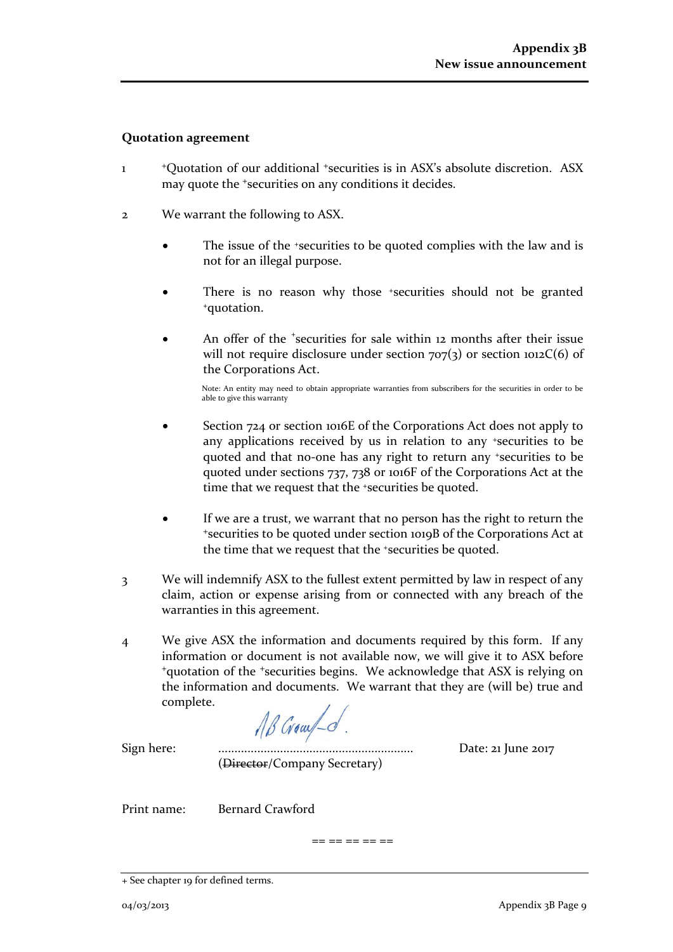### **Quotation agreement**

- 1 <sup>+</sup>Quotation of our additional <sup>+</sup>securities is in ASX's absolute discretion. ASX may quote the <sup>+</sup>securities on any conditions it decides.
- 2 We warrant the following to ASX.
	- The issue of the +securities to be quoted complies with the law and is not for an illegal purpose.
	- There is no reason why those +securities should not be granted <sup>+</sup>quotation.
	- An offer of the <sup>+</sup>securities for sale within 12 months after their issue will not require disclosure under section  $707(3)$  or section  $1012C(6)$  of the Corporations Act.

Note: An entity may need to obtain appropriate warranties from subscribers for the securities in order to be able to give this warranty

- Section 724 or section 1016E of the Corporations Act does not apply to any applications received by us in relation to any +securities to be quoted and that no-one has any right to return any +securities to be quoted under sections 737, 738 or 1016F of the Corporations Act at the time that we request that the <sup>+</sup>securities be quoted.
- If we are a trust, we warrant that no person has the right to return the <sup>+</sup>securities to be quoted under section 1019B of the Corporations Act at the time that we request that the +securities be quoted.
- 3 We will indemnify ASX to the fullest extent permitted by law in respect of any claim, action or expense arising from or connected with any breach of the warranties in this agreement.
- 4 We give ASX the information and documents required by this form. If any information or document is not available now, we will give it to ASX before <sup>+</sup>quotation of the <sup>+</sup>securities begins. We acknowledge that ASX is relying on the information and documents. We warrant that they are (will be) true and complete.

AB Crown -

(Director/Company Secretary)

Sign here: ............................................................ Date: 21 June 2017

Print name: Bernard Crawford

 $== == == == ==$ 

<sup>+</sup> See chapter 19 for defined terms.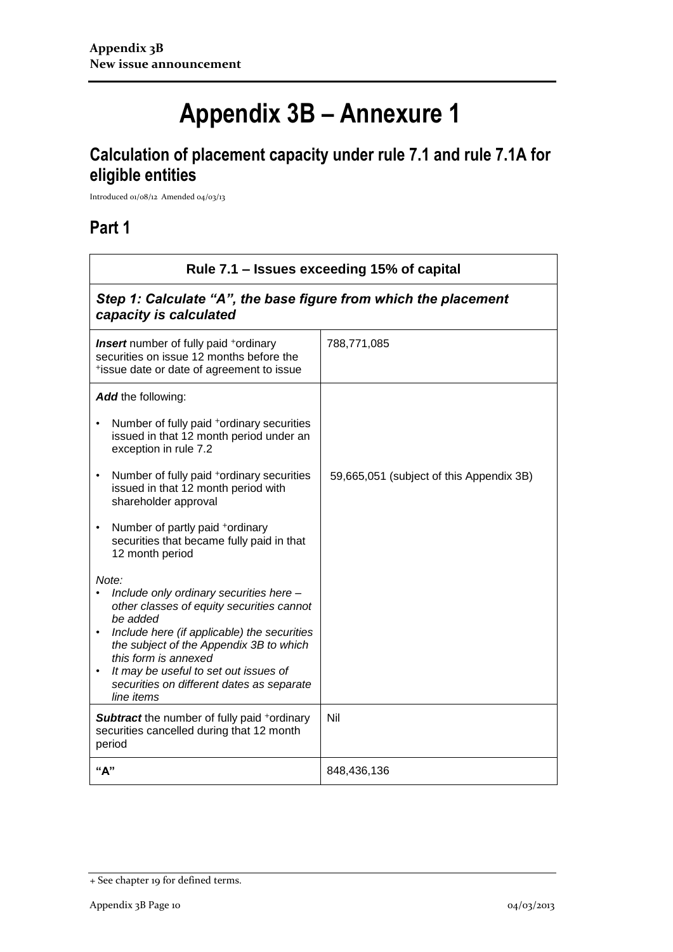# **Appendix 3B – Annexure 1**

## **Calculation of placement capacity under rule 7.1 and rule 7.1A for eligible entities**

Introduced 01/08/12 Amended 04/03/13

## **Part 1**

| Rule 7.1 – Issues exceeding 15% of capital<br>Step 1: Calculate "A", the base figure from which the placement<br>capacity is calculated                                                                                                                                                                                                      |                                          |  |  |  |
|----------------------------------------------------------------------------------------------------------------------------------------------------------------------------------------------------------------------------------------------------------------------------------------------------------------------------------------------|------------------------------------------|--|--|--|
|                                                                                                                                                                                                                                                                                                                                              |                                          |  |  |  |
| Add the following:                                                                                                                                                                                                                                                                                                                           |                                          |  |  |  |
| Number of fully paid <sup>+</sup> ordinary securities<br>$\bullet$<br>issued in that 12 month period under an<br>exception in rule 7.2                                                                                                                                                                                                       |                                          |  |  |  |
| Number of fully paid <sup>+</sup> ordinary securities<br>issued in that 12 month period with<br>shareholder approval                                                                                                                                                                                                                         | 59,665,051 (subject of this Appendix 3B) |  |  |  |
| Number of partly paid +ordinary<br>$\bullet$<br>securities that became fully paid in that<br>12 month period                                                                                                                                                                                                                                 |                                          |  |  |  |
| Note:<br>Include only ordinary securities here -<br>other classes of equity securities cannot<br>be added<br>Include here (if applicable) the securities<br>$\bullet$<br>the subject of the Appendix 3B to which<br>this form is annexed<br>It may be useful to set out issues of<br>securities on different dates as separate<br>line items |                                          |  |  |  |
| <b>Subtract</b> the number of fully paid +ordinary<br>securities cancelled during that 12 month<br>period                                                                                                                                                                                                                                    | Nil                                      |  |  |  |
| "A"                                                                                                                                                                                                                                                                                                                                          | 848,436,136                              |  |  |  |

<sup>+</sup> See chapter 19 for defined terms.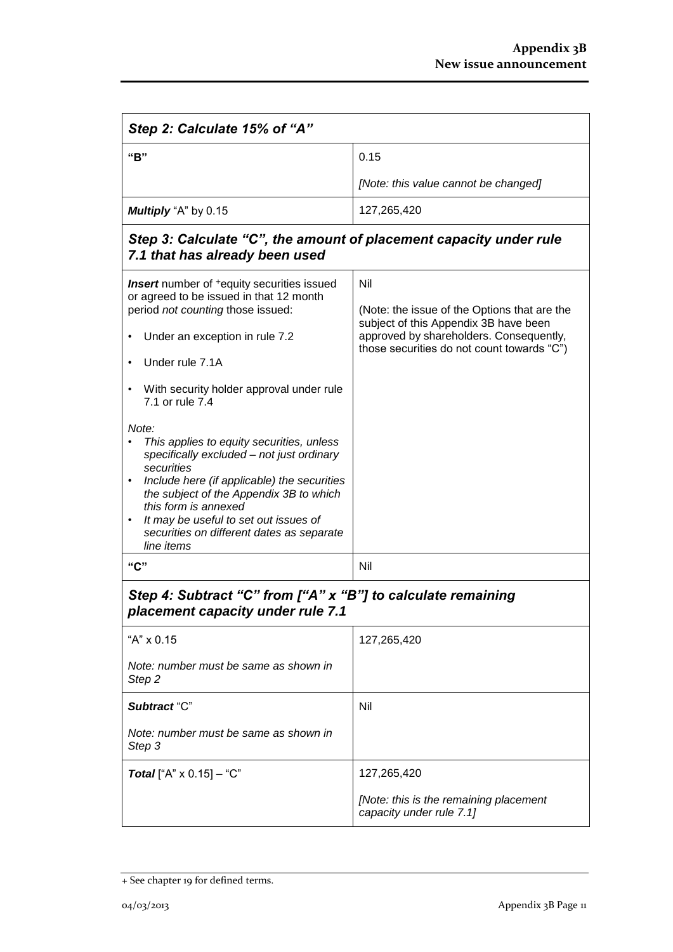| Step 2: Calculate 15% of "A"                                                                                                                                                                                                                                                                                                                                               |                                                                                       |  |  |  |  |
|----------------------------------------------------------------------------------------------------------------------------------------------------------------------------------------------------------------------------------------------------------------------------------------------------------------------------------------------------------------------------|---------------------------------------------------------------------------------------|--|--|--|--|
| "B"                                                                                                                                                                                                                                                                                                                                                                        | 0.15                                                                                  |  |  |  |  |
|                                                                                                                                                                                                                                                                                                                                                                            | [Note: this value cannot be changed]                                                  |  |  |  |  |
| Multiply "A" by 0.15                                                                                                                                                                                                                                                                                                                                                       | 127,265,420                                                                           |  |  |  |  |
| Step 3: Calculate "C", the amount of placement capacity under rule<br>7.1 that has already been used                                                                                                                                                                                                                                                                       |                                                                                       |  |  |  |  |
| <b>Insert</b> number of <sup>+</sup> equity securities issued<br>or agreed to be issued in that 12 month                                                                                                                                                                                                                                                                   | Nil                                                                                   |  |  |  |  |
| period not counting those issued:                                                                                                                                                                                                                                                                                                                                          | (Note: the issue of the Options that are the<br>subject of this Appendix 3B have been |  |  |  |  |
| Under an exception in rule 7.2                                                                                                                                                                                                                                                                                                                                             | approved by shareholders. Consequently,<br>those securities do not count towards "C") |  |  |  |  |
| Under rule 7.1A                                                                                                                                                                                                                                                                                                                                                            |                                                                                       |  |  |  |  |
| With security holder approval under rule<br>$\bullet$<br>7.1 or rule 7.4                                                                                                                                                                                                                                                                                                   |                                                                                       |  |  |  |  |
| Note:<br>This applies to equity securities, unless<br>$\bullet$<br>specifically excluded - not just ordinary<br>securities<br>Include here (if applicable) the securities<br>$\bullet$<br>the subject of the Appendix 3B to which<br>this form is annexed<br>It may be useful to set out issues of<br>$\bullet$<br>securities on different dates as separate<br>line items |                                                                                       |  |  |  |  |
| "C"                                                                                                                                                                                                                                                                                                                                                                        | Nil                                                                                   |  |  |  |  |
| Step 4: Subtract "C" from ["A" x "B"] to calculate remaining<br>placement capacity under rule 7.1                                                                                                                                                                                                                                                                          |                                                                                       |  |  |  |  |
| "A" x 0.15                                                                                                                                                                                                                                                                                                                                                                 | 127,265,420                                                                           |  |  |  |  |
| Note: number must be same as shown in<br>Step <sub>2</sub>                                                                                                                                                                                                                                                                                                                 |                                                                                       |  |  |  |  |
| Subtract "C"                                                                                                                                                                                                                                                                                                                                                               | Nil                                                                                   |  |  |  |  |
| Note: number must be same as shown in                                                                                                                                                                                                                                                                                                                                      |                                                                                       |  |  |  |  |

**Total** ["A" x 0.15] – "C" 127,265,420 *[Note: this is the remaining placement capacity under rule 7.1]*

*Step 3*

<sup>+</sup> See chapter 19 for defined terms.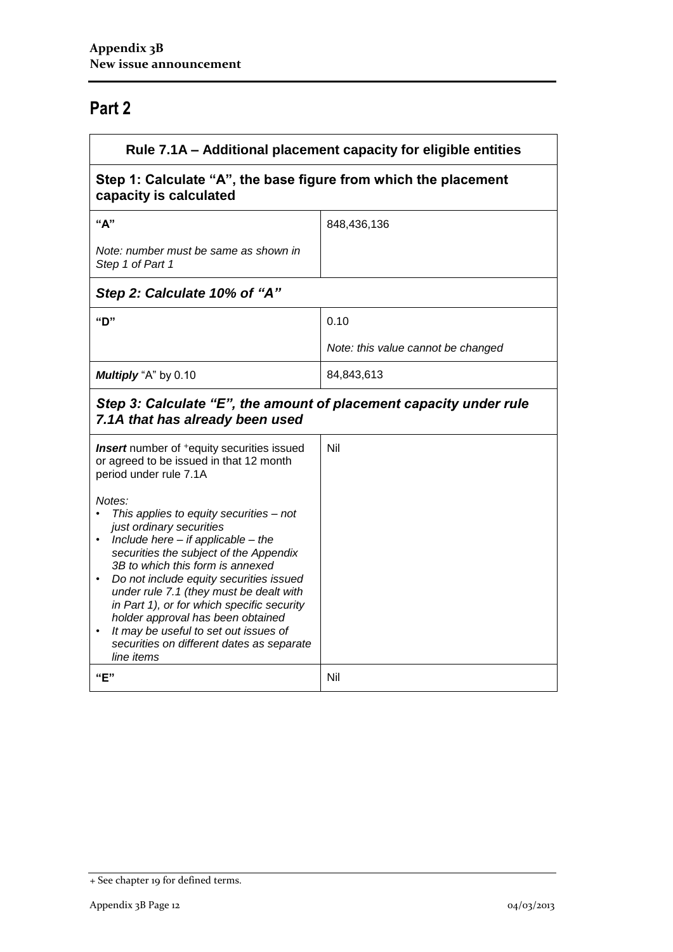## **Part 2**

| Rule 7.1A - Additional placement capacity for eligible entities                                                                                                                                                                                                                                                                                                                                                                                                                                                           |                                    |  |  |  |
|---------------------------------------------------------------------------------------------------------------------------------------------------------------------------------------------------------------------------------------------------------------------------------------------------------------------------------------------------------------------------------------------------------------------------------------------------------------------------------------------------------------------------|------------------------------------|--|--|--|
| Step 1: Calculate "A", the base figure from which the placement<br>capacity is calculated                                                                                                                                                                                                                                                                                                                                                                                                                                 |                                    |  |  |  |
| "A"                                                                                                                                                                                                                                                                                                                                                                                                                                                                                                                       | 848,436,136                        |  |  |  |
| Note: number must be same as shown in<br>Step 1 of Part 1                                                                                                                                                                                                                                                                                                                                                                                                                                                                 |                                    |  |  |  |
| Step 2: Calculate 10% of "A"                                                                                                                                                                                                                                                                                                                                                                                                                                                                                              |                                    |  |  |  |
| "D"                                                                                                                                                                                                                                                                                                                                                                                                                                                                                                                       | 0.10                               |  |  |  |
|                                                                                                                                                                                                                                                                                                                                                                                                                                                                                                                           | Note: this value cannot be changed |  |  |  |
| Multiply "A" by 0.10                                                                                                                                                                                                                                                                                                                                                                                                                                                                                                      | 84,843,613                         |  |  |  |
| Step 3: Calculate "E", the amount of placement capacity under rule<br>7.1A that has already been used                                                                                                                                                                                                                                                                                                                                                                                                                     |                                    |  |  |  |
| <b>Insert</b> number of <sup>+</sup> equity securities issued<br>or agreed to be issued in that 12 month<br>period under rule 7.1A                                                                                                                                                                                                                                                                                                                                                                                        | Nil                                |  |  |  |
| Notes:<br>This applies to equity securities - not<br>just ordinary securities<br>Include here $-$ if applicable $-$ the<br>$\bullet$<br>securities the subject of the Appendix<br>3B to which this form is annexed<br>Do not include equity securities issued<br>$\bullet$<br>under rule 7.1 (they must be dealt with<br>in Part 1), or for which specific security<br>holder approval has been obtained<br>It may be useful to set out issues of<br>$\bullet$<br>securities on different dates as separate<br>line items |                                    |  |  |  |
| "E"                                                                                                                                                                                                                                                                                                                                                                                                                                                                                                                       | Nil                                |  |  |  |

<sup>+</sup> See chapter 19 for defined terms.